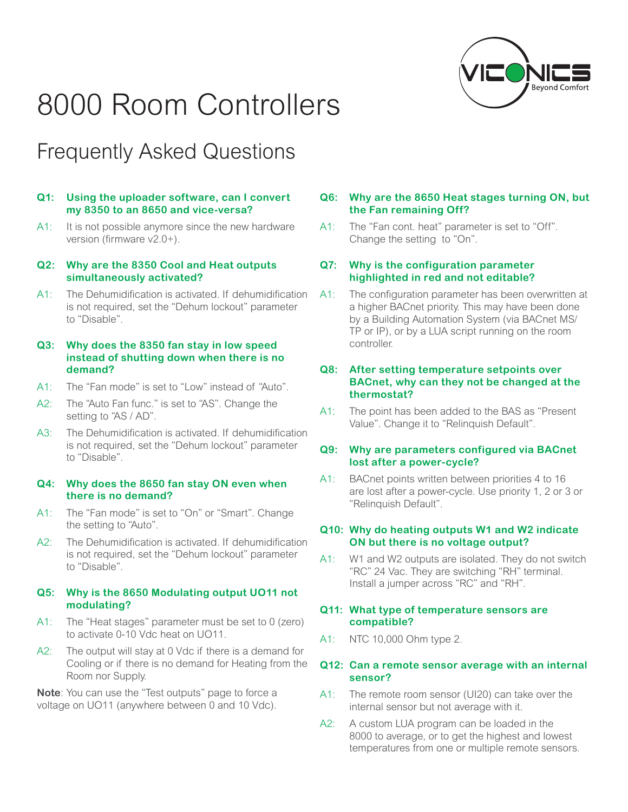# 8000 Room Controllers



# Frequently Asked Questions

#### **Q1: Using the uploader software, can I convert my 8350 to an 8650 and vice-versa?**

A1: It is not possible anymore since the new hardware version (firmware v2.0+).

# **Q2: Why are the 8350 Cool and Heat outputs simultaneously activated?**

A1: The Dehumidification is activated. If dehumidification is not required, set the "Dehum lockout" parameter to "Disable".

### **Q3: Why does the 8350 fan stay in low speed instead of shutting down when there is no demand?**

- A1: The "Fan mode" is set to "Low" instead of "Auto".
- A2: The "Auto Fan func." is set to "AS". Change the setting to "AS / AD".
- A3: The Dehumidification is activated. If dehumidification is not required, set the "Dehum lockout" parameter to "Disable".

#### **Q4: Why does the 8650 fan stay ON even when there is no demand?**

- A1: The "Fan mode" is set to "On" or "Smart". Change the setting to "Auto".
- A2: The Dehumidification is activated. If dehumidification is not required, set the "Dehum lockout" parameter to "Disable".

# **Q5: Why is the 8650 Modulating output UO11 not modulating?**

- A1: The "Heat stages" parameter must be set to 0 (zero) to activate 0-10 Vdc heat on UO11.
- A2: The output will stay at 0 Vdc if there is a demand for Cooling or if there is no demand for Heating from the Room nor Supply.

**Note**: You can use the "Test outputs" page to force a voltage on UO11 (anywhere between 0 and 10 Vdc).

# **Q6: Why are the 8650 Heat stages turning ON, but the Fan remaining Off?**

A1: The "Fan cont. heat" parameter is set to "Off". Change the setting to "On".

# **Q7: Why is the configuration parameter highlighted in red and not editable?**

A1: The configuration parameter has been overwritten at a higher BACnet priority. This may have been done by a Building Automation System (via BACnet MS/ TP or IP), or by a LUA script running on the room controller.

# **Q8: After setting temperature setpoints over BACnet, why can they not be changed at the thermostat?**

A1: The point has been added to the BAS as "Present Value". Change it to "Relinquish Default".

# **Q9: Why are parameters configured via BACnet lost after a power-cycle?**

A1: BACnet points written between priorities 4 to 16 are lost after a power-cycle. Use priority 1, 2 or 3 or "Relinquish Default".

# **Q10: Why do heating outputs W1 and W2 indicate ON but there is no voltage output?**

A1: W1 and W2 outputs are isolated. They do not switch "RC" 24 Vac. They are switching "RH" terminal. Install a jumper across "RC" and "RH".

### **Q11: What type of temperature sensors are compatible?**

A1: NTC 10,000 Ohm type 2.

# **Q12: Can a remote sensor average with an internal sensor?**

- A1: The remote room sensor (UI20) can take over the internal sensor but not average with it.
- A2: A custom LUA program can be loaded in the 8000 to average, or to get the highest and lowest temperatures from one or multiple remote sensors.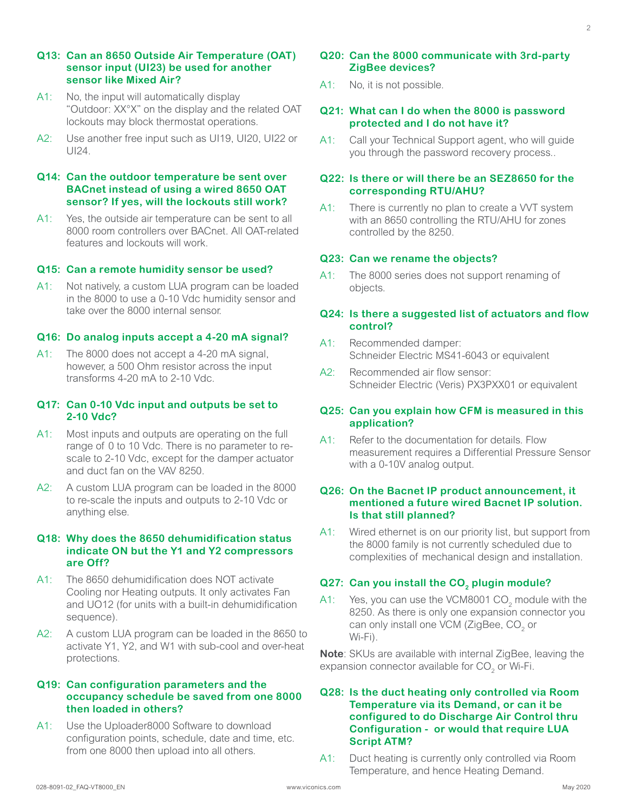- A1: No, the input will automatically display "Outdoor: XX°X" on the display and the related OAT lockouts may block thermostat operations.
- A2: Use another free input such as UI19, UI20, UI22 or UI24.

# **Q14: Can the outdoor temperature be sent over BACnet instead of using a wired 8650 OAT sensor? If yes, will the lockouts still work?**

A1: Yes, the outside air temperature can be sent to all 8000 room controllers over BACnet. All OAT-related features and lockouts will work.

#### **Q15: Can a remote humidity sensor be used?**

A1: Not natively, a custom LUA program can be loaded in the 8000 to use a 0-10 Vdc humidity sensor and take over the 8000 internal sensor.

#### **Q16: Do analog inputs accept a 4-20 mA signal?**

A1: The 8000 does not accept a 4-20 mA signal, however, a 500 Ohm resistor across the input transforms 4-20 mA to 2-10 Vdc.

#### **Q17: Can 0-10 Vdc input and outputs be set to 2-10 Vdc?**

- A1: Most inputs and outputs are operating on the full range of 0 to 10 Vdc. There is no parameter to rescale to 2-10 Vdc, except for the damper actuator and duct fan on the VAV 8250.
- A2: A custom LUA program can be loaded in the 8000 to re-scale the inputs and outputs to 2-10 Vdc or anything else.

#### **Q18: Why does the 8650 dehumidification status indicate ON but the Y1 and Y2 compressors are Off?**

- A1: The 8650 dehumidification does NOT activate Cooling nor Heating outputs. It only activates Fan and UO12 (for units with a built-in dehumidification sequence).
- A2: A custom LUA program can be loaded in the 8650 to activate Y1, Y2, and W1 with sub-cool and over-heat protections.

#### **Q19: Can configuration parameters and the occupancy schedule be saved from one 8000 then loaded in others?**

A1: Use the Uploader8000 Software to download configuration points, schedule, date and time, etc. from one 8000 then upload into all others.

# **Q20: Can the 8000 communicate with 3rd-party ZigBee devices?**

A1: No, it is not possible.

#### **Q21: What can I do when the 8000 is password protected and I do not have it?**

A1: Call your Technical Support agent, who will guide you through the password recovery process..

#### **Q22: Is there or will there be an SEZ8650 for the corresponding RTU/AHU?**

A1: There is currently no plan to create a VVT system with an 8650 controlling the RTU/AHU for zones controlled by the 8250.

#### **Q23: Can we rename the objects?**

A1: The 8000 series does not support renaming of objects.

#### **Q24: Is there a suggested list of actuators and flow control?**

- A1: Recommended damper: Schneider Electric MS41-6043 or equivalent
- A2: Recommended air flow sensor: Schneider Electric (Veris) PX3PXX01 or equivalent

#### **Q25: Can you explain how CFM is measured in this application?**

A1: Refer to the documentation for details. Flow measurement requires a Differential Pressure Sensor with a 0-10V analog output.

# **Q26: On the Bacnet IP product announcement, it mentioned a future wired Bacnet IP solution. Is that still planned?**

A1: Wired ethernet is on our priority list, but support from the 8000 family is not currently scheduled due to complexities of mechanical design and installation.

# **Q27: Can you install the CO<sub>2</sub> plugin module?**

A1: Yes, you can use the VCM8001 CO<sub>2</sub> module with the 8250. As there is only one expansion connector you can only install one VCM (ZigBee, CO<sub>2</sub> or Wi-Fi).

**Note**: SKUs are available with internal ZigBee, leaving the expansion connector available for CO<sub>2</sub> or Wi-Fi.

#### **Q28: Is the duct heating only controlled via Room Temperature via its Demand, or can it be configured to do Discharge Air Control thru Configuration - or would that require LUA Script ATM?**

A1: Duct heating is currently only controlled via Room Temperature, and hence Heating Demand.